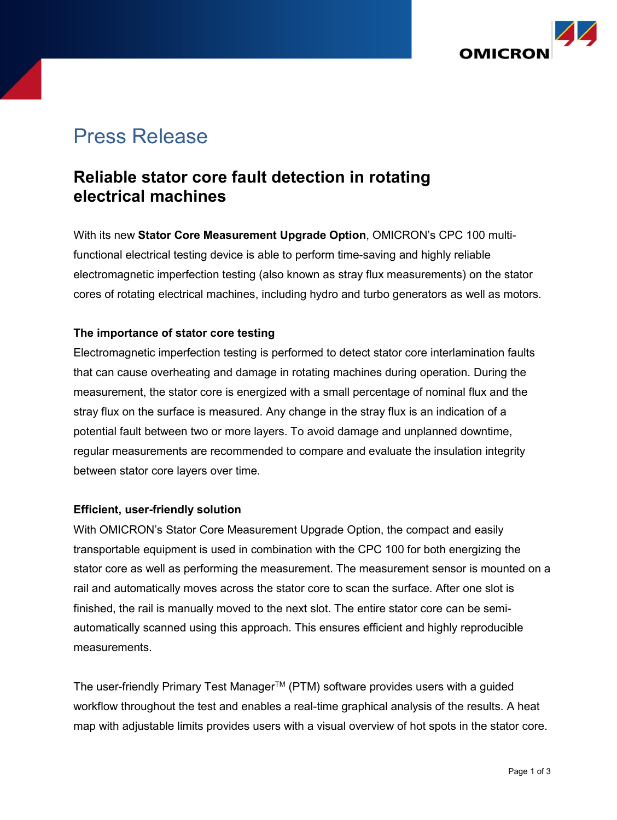

# Press Release

# **Reliable stator core fault detection in rotating electrical machines**

With its new **Stator Core Measurement Upgrade Option**, OMICRON's CPC 100 multifunctional electrical testing device is able to perform time-saving and highly reliable electromagnetic imperfection testing (also known as stray flux measurements) on the stator cores of rotating electrical machines, including hydro and turbo generators as well as motors.

#### **The importance of stator core testing**

Electromagnetic imperfection testing is performed to detect stator core interlamination faults that can cause overheating and damage in rotating machines during operation. During the measurement, the stator core is energized with a small percentage of nominal flux and the stray flux on the surface is measured. Any change in the stray flux is an indication of a potential fault between two or more layers. To avoid damage and unplanned downtime, regular measurements are recommended to compare and evaluate the insulation integrity between stator core layers over time.

#### **Efficient, user-friendly solution**

With OMICRON's Stator Core Measurement Upgrade Option, the compact and easily transportable equipment is used in combination with the CPC 100 for both energizing the stator core as well as performing the measurement. The measurement sensor is mounted on a rail and automatically moves across the stator core to scan the surface. After one slot is finished, the rail is manually moved to the next slot. The entire stator core can be semiautomatically scanned using this approach. This ensures efficient and highly reproducible measurements.

The user-friendly Primary Test Manager<sup>™</sup> (PTM) software provides users with a guided workflow throughout the test and enables a real-time graphical analysis of the results. A heat map with adjustable limits provides users with a visual overview of hot spots in the stator core.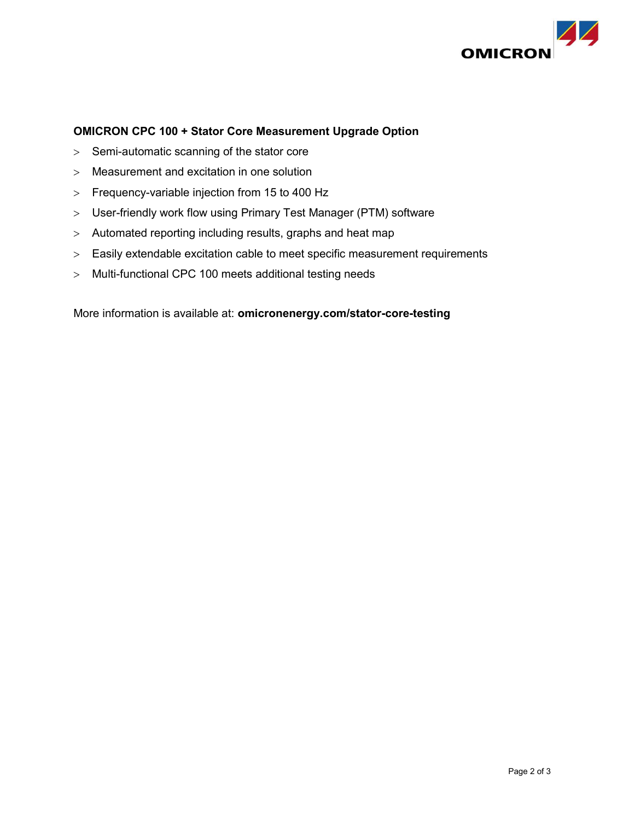

#### **OMICRON CPC 100 + Stator Core Measurement Upgrade Option**

- $>$  Semi-automatic scanning of the stator core
- Measurement and excitation in one solution
- Frequency-variable injection from 15 to 400 Hz
- User-friendly work flow using Primary Test Manager (PTM) software
- Automated reporting including results, graphs and heat map
- Easily extendable excitation cable to meet specific measurement requirements
- Multi-functional CPC 100 meets additional testing needs

More information is available at: **omicronenergy.com/stator-core-testing**